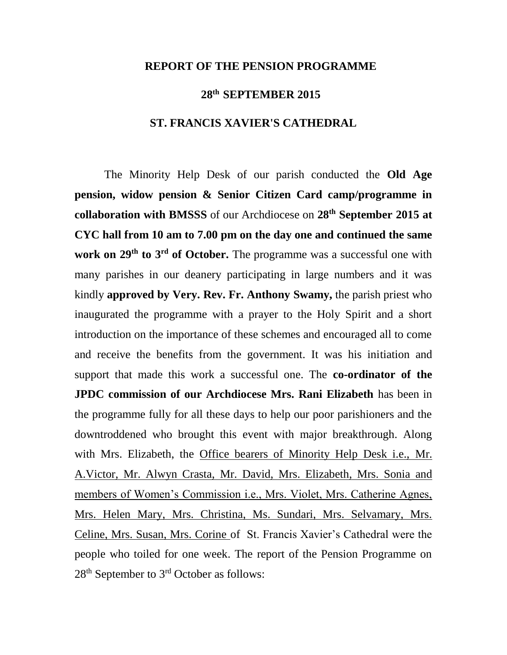## **REPORT OF THE PENSION PROGRAMME**

## **28th SEPTEMBER 2015**

## **ST. FRANCIS XAVIER'S CATHEDRAL**

The Minority Help Desk of our parish conducted the **Old Age pension, widow pension & Senior Citizen Card camp/programme in collaboration with BMSSS** of our Archdiocese on **28th September 2015 at CYC hall from 10 am to 7.00 pm on the day one and continued the same work on 29th to 3rd of October.** The programme was a successful one with many parishes in our deanery participating in large numbers and it was kindly **approved by Very. Rev. Fr. Anthony Swamy,** the parish priest who inaugurated the programme with a prayer to the Holy Spirit and a short introduction on the importance of these schemes and encouraged all to come and receive the benefits from the government. It was his initiation and support that made this work a successful one. The **co-ordinator of the JPDC commission of our Archdiocese Mrs. Rani Elizabeth** has been in the programme fully for all these days to help our poor parishioners and the downtroddened who brought this event with major breakthrough. Along with Mrs. Elizabeth, the Office bearers of Minority Help Desk i.e., Mr. A.Victor, Mr. Alwyn Crasta, Mr. David, Mrs. Elizabeth, Mrs. Sonia and members of Women's Commission i.e., Mrs. Violet, Mrs. Catherine Agnes, Mrs. Helen Mary, Mrs. Christina, Ms. Sundari, Mrs. Selvamary, Mrs. Celine, Mrs. Susan, Mrs. Corine of St. Francis Xavier's Cathedral were the people who toiled for one week. The report of the Pension Programme on  $28<sup>th</sup>$  September to  $3<sup>rd</sup>$  October as follows: